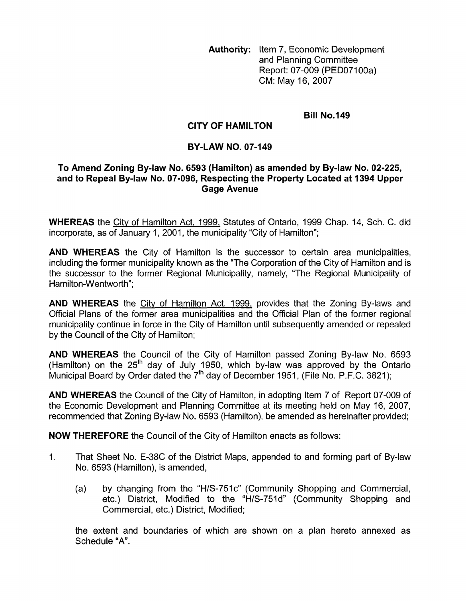**Authority:** Item 7, Economic Development and Planning Committee Report: 07-009 (PED07100a) CM: May 16,2007

## **Bill No.149**

## **CITY OF HAMILTON**

## **BY-LAW NO. 07-149**

## **To Amend Zoning By-law No. 6593 (Hamilton) as amended by By-law No. 02-225, and to Repeal By-law No. 07-096, Respecting the Property Located at 1394 Upper Gage Avenue**

**WHEREAS** the Citv of Hamilton Act, 1999, Statutes of Ontario, 1999 Chap. 14, Sch. C. did incorporate, as of January 1, 2001, the municipality "City of Hamilton";

**AND WHEREAS** the City of Hamilton is the successor to certain area municipalities, including the former municipality known as the "The Corporation of the City of Hamilton and is the successor to the former Regional Municipality, namely, "The Regional Municipality of Hamilton-Wentworth";

**AND WHEREAS** the City of Hamilton Act, 1999, provides that the Zoning By-laws and Official Plans of the former area municipalities and the Official Plan of the former regional municipality continue in force in the City of Hamilton until subsequently amended or repealed by the Council of the City of Hamilton;

**AND WHEREAS** the Council of the City of Hamilton passed Zoning By-law No. 6593 (Hamilton) on the  $25<sup>th</sup>$  day of July 1950, which by-law was approved by the Ontario Municipal Board by Order dated the  $7<sup>th</sup>$  day of December 1951, (File No. P.F.C. 3821);

**AND WHEREAS** the Council of the City of Hamilton, in adopting Item 7 of Report 07-009 of the Economic Development and Planning Committee at its meeting held on May 16, 2007, recommended that Zoning By-law No. 6593 (Hamilton), be amended as hereinafter provided;

**NOW THEREFORE** the Council of the City of Hamilton enacts as follows:

- 1. That Sheet No. E-38C of the District Maps, appended to and forming part of By-law No. 6593 (Hamilton), is amended,
	- (a) by changing from the "H/S-751c" (Community Shopping and Commercial, etc.) District, Modified to the "H/S-751d" (Community Shopping and Commercial, etc.) District, Modified;

the extent and boundaries of which are shown on a plan hereto annexed as Schedule "A".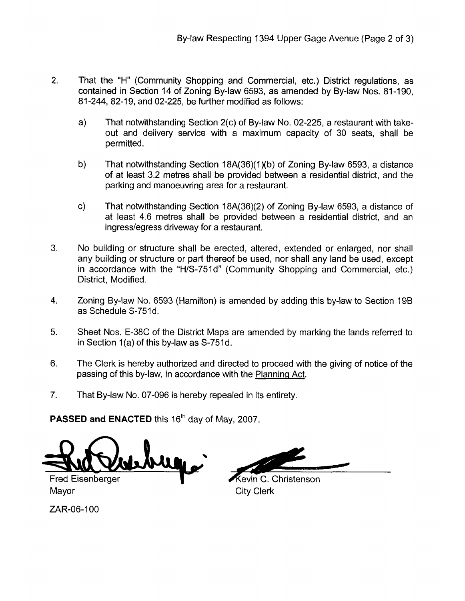- 2. That the "H" (Community Shopping and Commercial, etc.) District regulations, as contained in Section 14 of Zoning By-law 6593, as amended by By-law Nos. 81-190, 81-244, 82-19, and 02-225, be further modified as follows:
	- a) That notwithstanding Section 2(c) of By-law No. 02-225, a restaurant with takeout and delivery service with a maximum capacity of 30 seats, shall be permitted.
	- b) That notwithstanding Section 18A(36)(1)(b) of Zoning By-law 6593, a distance of at least 3.2 metres shall be provided between a residential district, and the parking and manoeuvring area for a restaurant.
	- c) That notwithstanding Section 18A(36)(2) of Zoning By-law 6593, a distance of at least 4.6 metres shall be provided between a residential district, and an ingresslegress driveway for a restaurant.
- 3. No building or structure shall be erected, altered, extended or enlarged, nor shall any building or structure or part thereof be used, nor shall any land be used, except in accordance with the "H/S-751d" (Community Shopping and Commercial, etc.) District, Modified.
- 4. Zoning By-law No. 6593 (Hamilton) is amended by adding this by-law to Section 19B as Schedule S-751d.
- 5. Sheet Nos. E-38C of the District Maps are amended by marking the lands referred to in Section 1(a) of this by-law as S-751d.
- 6. The Clerk is hereby authorized and directed to proceed with the giving of notice *of* the passing of this by-law, in accordance with the Planninq Act.
- 7. That By-law No. 07-096 is hereby repealed in its entirety.

**PASSED and ENACTED this 16<sup>th</sup> day of May, 2007.** 

<u>huy.</u>

**Fred Eisenberger** Mayor **Mayor** City Clerk

**Kevin C. Christenson** 

ZAR-06-100